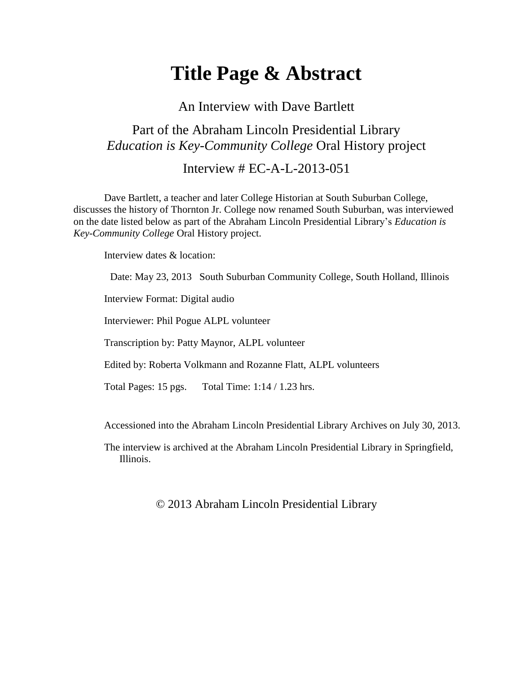## **Title Page & Abstract**

An Interview with Dave Bartlett

## Part of the Abraham Lincoln Presidential Library *Education is Key-Community College* Oral History project

Interview # EC-A-L-2013-051

Dave Bartlett, a teacher and later College Historian at South Suburban College, discusses the history of Thornton Jr. College now renamed South Suburban, was interviewed on the date listed below as part of the Abraham Lincoln Presidential Library's *Education is Key-Community College* Oral History project.

Interview dates & location:

Date: May 23, 2013 South Suburban Community College, South Holland, Illinois

Interview Format: Digital audio

Interviewer: Phil Pogue ALPL volunteer

Transcription by: Patty Maynor, ALPL volunteer

Edited by: Roberta Volkmann and Rozanne Flatt, ALPL volunteers

Total Pages: 15 pgs. Total Time: 1:14 / 1.23 hrs.

Accessioned into the Abraham Lincoln Presidential Library Archives on July 30, 2013.

The interview is archived at the Abraham Lincoln Presidential Library in Springfield, Illinois.

© 2013 Abraham Lincoln Presidential Library